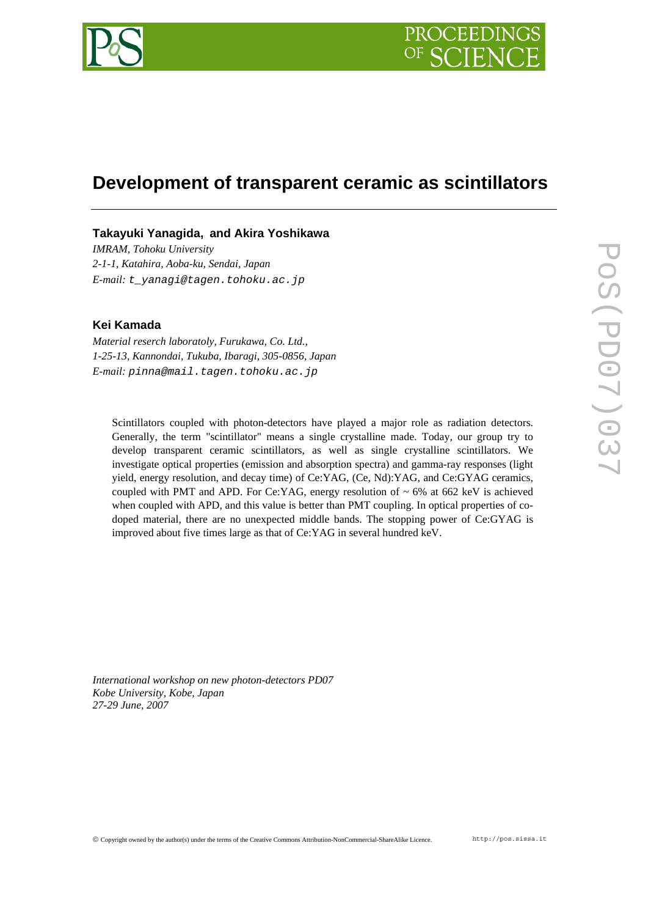

# **Development of transparent ceramic as scintillators**

# **Takayuki Yanagida, and Akira Yoshikawa**

*IMRAM, Tohoku University 2-1-1, Katahira, Aoba-ku, Sendai, Japan E-mail: t\_yanagi@tagen.tohoku.ac.jp* 

## **Kei Kamada**

*Material reserch laboratoly, Furukawa, Co. Ltd., 1-25-13, Kannondai, Tukuba, Ibaragi, 305-0856, Japan E-mail: pinna@mail.tagen.tohoku.ac.jp* 

Scintillators coupled with photon-detectors have played a major role as radiation detectors. Generally, the term "scintillator" means a single crystalline made. Today, our group try to develop transparent ceramic scintillators, as well as single crystalline scintillators. We investigate optical properties (emission and absorption spectra) and gamma-ray responses (light yield, energy resolution, and decay time) of Ce:YAG, (Ce, Nd):YAG, and Ce:GYAG ceramics, coupled with PMT and APD. For Ce:YAG, energy resolution of  $\sim 6\%$  at 662 keV is achieved when coupled with APD, and this value is better than PMT coupling. In optical properties of codoped material, there are no unexpected middle bands. The stopping power of Ce:GYAG is improved about five times large as that of Ce:YAG in several hundred keV.

*International workshop on new photon-detectors PD07 Kobe University, Kobe, Japan 27-29 June, 2007*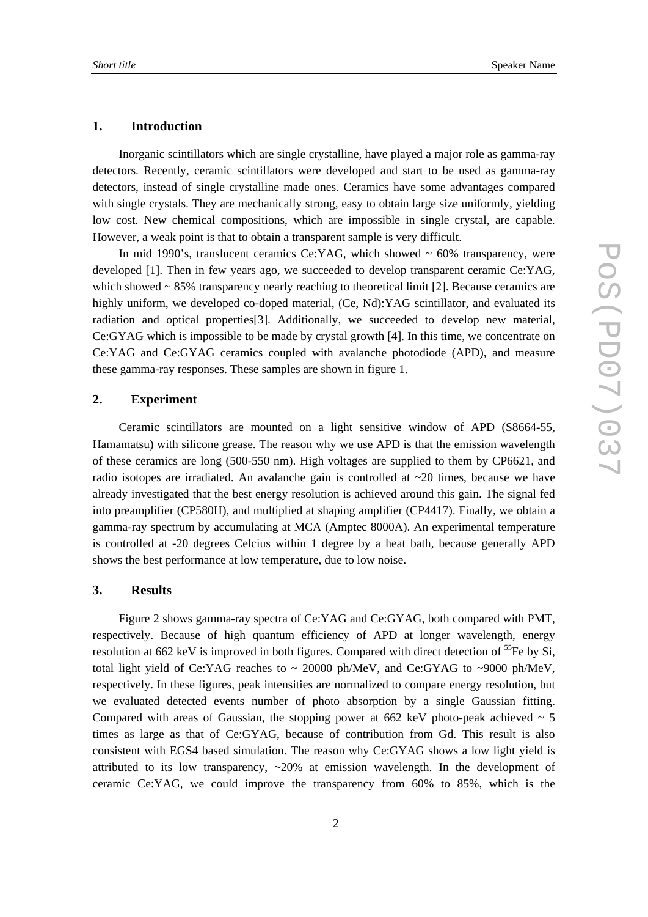#### **1. Introduction**

Inorganic scintillators which are single crystalline, have played a major role as gamma-ray detectors. Recently, ceramic scintillators were developed and start to be used as gamma-ray detectors, instead of single crystalline made ones. Ceramics have some advantages compared with single crystals. They are mechanically strong, easy to obtain large size uniformly, yielding low cost. New chemical compositions, which are impossible in single crystal, are capable. However, a weak point is that to obtain a transparent sample is very difficult.

In mid 1990's, translucent ceramics Ce: YAG, which showed  $\sim 60\%$  transparency, were developed [1]. Then in few years ago, we succeeded to develop transparent ceramic Ce:YAG, which showed  $\sim$  85% transparency nearly reaching to theoretical limit [2]. Because ceramics are highly uniform, we developed co-doped material, (Ce, Nd):YAG scintillator, and evaluated its radiation and optical properties[3]. Additionally, we succeeded to develop new material, Ce:GYAG which is impossible to be made by crystal growth [4]. In this time, we concentrate on Ce:YAG and Ce:GYAG ceramics coupled with avalanche photodiode (APD), and measure these gamma-ray responses. These samples are shown in figure 1.

# **2. Experiment**

Ceramic scintillators are mounted on a light sensitive window of APD (S8664-55, Hamamatsu) with silicone grease. The reason why we use APD is that the emission wavelength of these ceramics are long (500-550 nm). High voltages are supplied to them by CP6621, and radio isotopes are irradiated. An avalanche gain is controlled at  $\sim$ 20 times, because we have already investigated that the best energy resolution is achieved around this gain. The signal fed into preamplifier (CP580H), and multiplied at shaping amplifier (CP4417). Finally, we obtain a gamma-ray spectrum by accumulating at MCA (Amptec 8000A). An experimental temperature is controlled at -20 degrees Celcius within 1 degree by a heat bath, because generally APD shows the best performance at low temperature, due to low noise.

# **3. Results**

Figure 2 shows gamma-ray spectra of Ce:YAG and Ce:GYAG, both compared with PMT, respectively. Because of high quantum efficiency of APD at longer wavelength, energy resolution at 662 keV is improved in both figures. Compared with direct detection of <sup>55</sup>Fe by Si, total light yield of Ce:YAG reaches to  $\sim 20000$  ph/MeV, and Ce:GYAG to  $\sim 9000$  ph/MeV, respectively. In these figures, peak intensities are normalized to compare energy resolution, but we evaluated detected events number of photo absorption by a single Gaussian fitting. Compared with areas of Gaussian, the stopping power at 662 keV photo-peak achieved  $\sim$  5 times as large as that of Ce:GYAG, because of contribution from Gd. This result is also consistent with EGS4 based simulation. The reason why Ce:GYAG shows a low light yield is attributed to its low transparency, ~20% at emission wavelength. In the development of ceramic Ce:YAG, we could improve the transparency from 60% to 85%, which is the